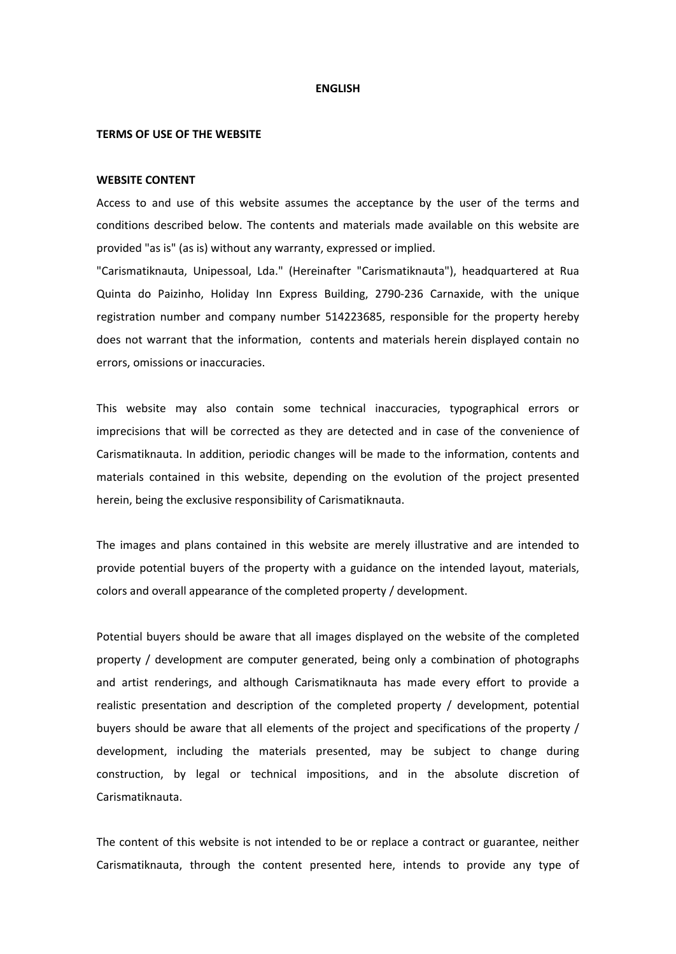#### **ENGLISH**

### **TERMS OF USE OF THE WEBSITE**

## **WEBSITE CONTENT**

Access to and use of this website assumes the acceptance by the user of the terms and conditions described below. The contents and materials made available on this website are provided "as is" (as is) without any warranty, expressed or implied.

"Carismatiknauta, Unipessoal, Lda." (Hereinafter "Carismatiknauta"), headquartered at Rua Quinta do Paizinho, Holiday Inn Express Building, 2790-236 Carnaxide, with the unique registration number and company number 514223685, responsible for the property hereby does not warrant that the information, contents and materials herein displayed contain no errors, omissions or inaccuracies.

This website may also contain some technical inaccuracies, typographical errors or imprecisions that will be corrected as they are detected and in case of the convenience of Carismatiknauta. In addition, periodic changes will be made to the information, contents and materials contained in this website, depending on the evolution of the project presented herein, being the exclusive responsibility of Carismatiknauta.

The images and plans contained in this website are merely illustrative and are intended to provide potential buyers of the property with a guidance on the intended layout, materials, colors and overall appearance of the completed property / development.

Potential buyers should be aware that all images displayed on the website of the completed property / development are computer generated, being only a combination of photographs and artist renderings, and although Carismatiknauta has made every effort to provide a realistic presentation and description of the completed property / development, potential buyers should be aware that all elements of the project and specifications of the property / development, including the materials presented, may be subject to change during construction, by legal or technical impositions, and in the absolute discretion of Carismatiknauta.

The content of this website is not intended to be or replace a contract or guarantee, neither Carismatiknauta, through the content presented here, intends to provide any type of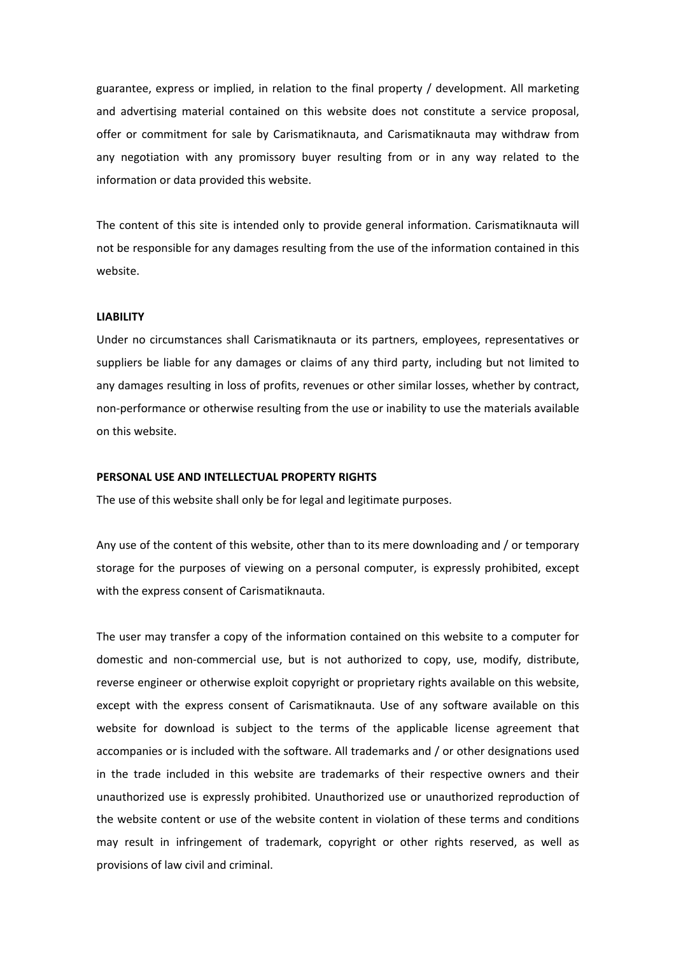guarantee, express or implied, in relation to the final property / development. All marketing and advertising material contained on this website does not constitute a service proposal, offer or commitment for sale by Carismatiknauta, and Carismatiknauta may withdraw from any negotiation with any promissory buyer resulting from or in any way related to the information or data provided this website.

The content of this site is intended only to provide general information. Carismatiknauta will not be responsible for any damages resulting from the use of the information contained in this website.

# **LIABILITY**

Under no circumstances shall Carismatiknauta or its partners, employees, representatives or suppliers be liable for any damages or claims of any third party, including but not limited to any damages resulting in loss of profits, revenues or other similar losses, whether by contract, non-performance or otherwise resulting from the use or inability to use the materials available on this website.

# **PERSONAL USE AND INTELLECTUAL PROPERTY RIGHTS**

The use of this website shall only be for legal and legitimate purposes.

Any use of the content of this website, other than to its mere downloading and / or temporary storage for the purposes of viewing on a personal computer, is expressly prohibited, except with the express consent of Carismatiknauta.

The user may transfer a copy of the information contained on this website to a computer for domestic and non-commercial use, but is not authorized to copy, use, modify, distribute, reverse engineer or otherwise exploit copyright or proprietary rights available on this website, except with the express consent of Carismatiknauta. Use of any software available on this website for download is subject to the terms of the applicable license agreement that accompanies or is included with the software. All trademarks and / or other designations used in the trade included in this website are trademarks of their respective owners and their unauthorized use is expressly prohibited. Unauthorized use or unauthorized reproduction of the website content or use of the website content in violation of these terms and conditions may result in infringement of trademark, copyright or other rights reserved, as well as provisions of law civil and criminal.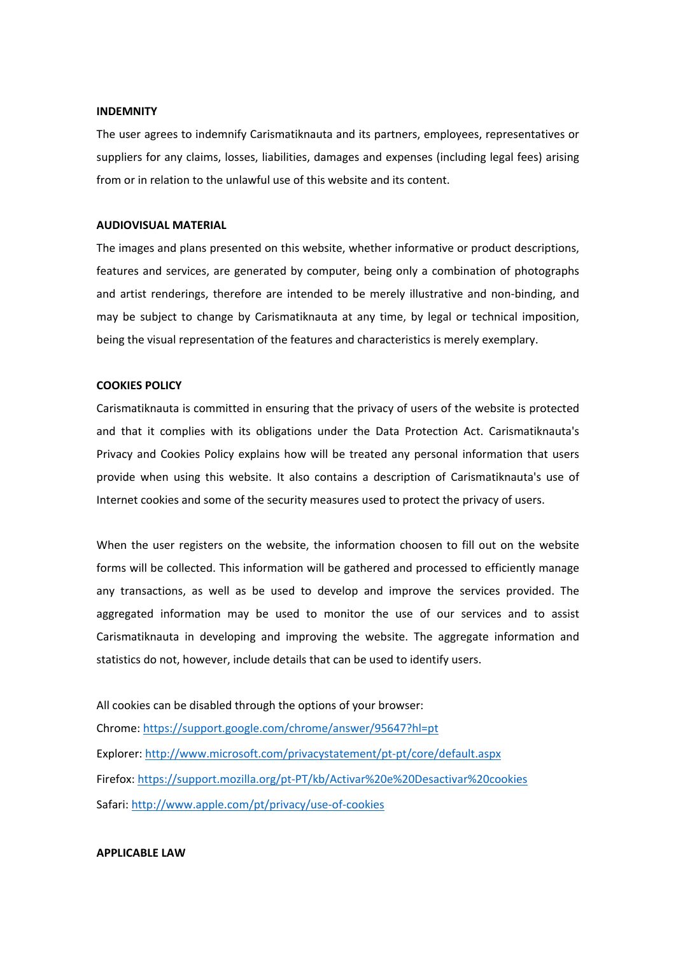### **INDEMNITY**

The user agrees to indemnify Carismatiknauta and its partners, employees, representatives or suppliers for any claims, losses, liabilities, damages and expenses (including legal fees) arising from or in relation to the unlawful use of this website and its content.

# **AUDIOVISUAL MATERIAL**

The images and plans presented on this website, whether informative or product descriptions, features and services, are generated by computer, being only a combination of photographs and artist renderings, therefore are intended to be merely illustrative and non-binding, and may be subject to change by Carismatiknauta at any time, by legal or technical imposition, being the visual representation of the features and characteristics is merely exemplary.

# **COOKIES POLICY**

Carismatiknauta is committed in ensuring that the privacy of users of the website is protected and that it complies with its obligations under the Data Protection Act. Carismatiknauta's Privacy and Cookies Policy explains how will be treated any personal information that users provide when using this website. It also contains a description of Carismatiknauta's use of Internet cookies and some of the security measures used to protect the privacy of users.

When the user registers on the website, the information choosen to fill out on the website forms will be collected. This information will be gathered and processed to efficiently manage any transactions, as well as be used to develop and improve the services provided. The aggregated information may be used to monitor the use of our services and to assist Carismatiknauta in developing and improving the website. The aggregate information and statistics do not, however, include details that can be used to identify users.

All cookies can be disabled through the options of your browser: Chrome: https://support.google.com/chrome/answer/95647?hl=pt Explorer: http://www.microsoft.com/privacystatement/pt-pt/core/default.aspx Firefox: https://support.mozilla.org/pt-PT/kb/Activar%20e%20Desactivar%20cookies Safari: http://www.apple.com/pt/privacy/use-of-cookies

## **APPLICABLE LAW**